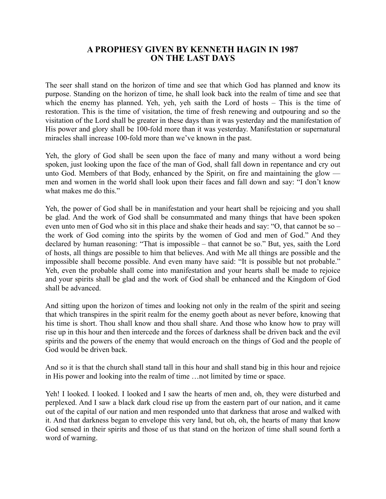## **A PROPHESY GIVEN BY KENNETH HAGIN IN 1987 ON THE LAST DAYS**

The seer shall stand on the horizon of time and see that which God has planned and know its purpose. Standing on the horizon of time, he shall look back into the realm of time and see that which the enemy has planned. Yeh, yeh, yeh saith the Lord of hosts – This is the time of restoration. This is the time of visitation, the time of fresh renewing and outpouring and so the visitation of the Lord shall be greater in these days than it was yesterday and the manifestation of His power and glory shall be 100-fold more than it was yesterday. Manifestation or supernatural miracles shall increase 100-fold more than we've known in the past.

Yeh, the glory of God shall be seen upon the face of many and many without a word being spoken, just looking upon the face of the man of God, shall fall down in repentance and cry out unto God. Members of that Body, enhanced by the Spirit, on fire and maintaining the glow men and women in the world shall look upon their faces and fall down and say: "I don't know what makes me do this."

Yeh, the power of God shall be in manifestation and your heart shall be rejoicing and you shall be glad. And the work of God shall be consummated and many things that have been spoken even unto men of God who sit in this place and shake their heads and say: "O, that cannot be so – the work of God coming into the spirits by the women of God and men of God." And they declared by human reasoning: "That is impossible – that cannot be so." But, yes, saith the Lord of hosts, all things are possible to him that believes. And with Me all things are possible and the impossible shall become possible. And even many have said: "It is possible but not probable." Yeh, even the probable shall come into manifestation and your hearts shall be made to rejoice and your spirits shall be glad and the work of God shall be enhanced and the Kingdom of God shall be advanced.

And sitting upon the horizon of times and looking not only in the realm of the spirit and seeing that which transpires in the spirit realm for the enemy goeth about as never before, knowing that his time is short. Thou shall know and thou shall share. And those who know how to pray will rise up in this hour and then intercede and the forces of darkness shall be driven back and the evil spirits and the powers of the enemy that would encroach on the things of God and the people of God would be driven back.

And so it is that the church shall stand tall in this hour and shall stand big in this hour and rejoice in His power and looking into the realm of time …not limited by time or space.

Yeh! I looked. I looked. I looked and I saw the hearts of men and, oh, they were disturbed and perplexed. And I saw a black dark cloud rise up from the eastern part of our nation, and it came out of the capital of our nation and men responded unto that darkness that arose and walked with it. And that darkness began to envelope this very land, but oh, oh, the hearts of many that know God sensed in their spirits and those of us that stand on the horizon of time shall sound forth a word of warning.